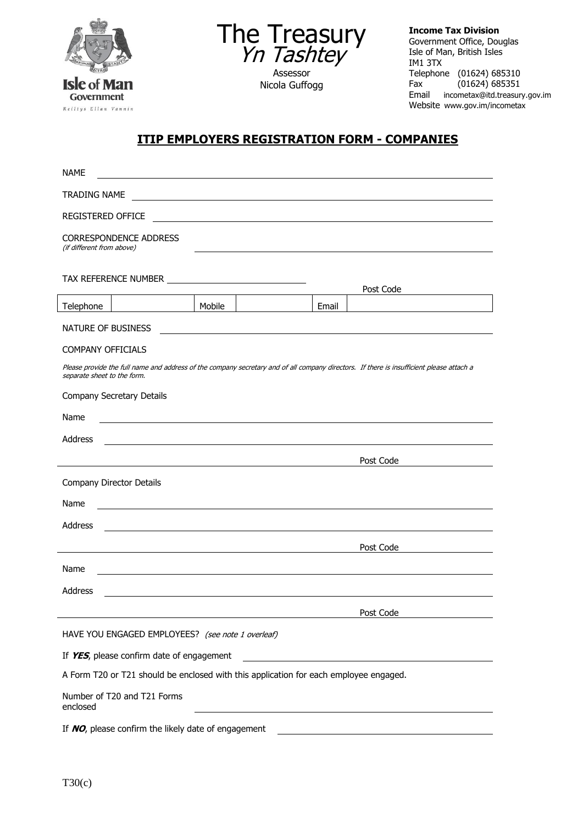



Assessor Nicola Guffogg **Income Tax Division** Government Office, Douglas Isle of Man, British Isles IM1 3TX Telephone (01624) 685310<br>Fax (01624) 685351  $(01624)$  685351 Email incometax@itd.treasury.gov.im Website www.gov.im/incometax

## **ITIP EMPLOYERS REGISTRATION FORM - COMPANIES**

| <b>NAME</b>                                                                                                                                                             |        |       |           |
|-------------------------------------------------------------------------------------------------------------------------------------------------------------------------|--------|-------|-----------|
| <b>TRADING NAME</b>                                                                                                                                                     |        |       |           |
| <b>REGISTERED OFFICE</b>                                                                                                                                                |        |       |           |
| <b>CORRESPONDENCE ADDRESS</b><br>(if different from above)                                                                                                              |        |       |           |
|                                                                                                                                                                         |        |       | Post Code |
| Telephone                                                                                                                                                               | Mobile | Email |           |
| NATURE OF BUSINESS                                                                                                                                                      |        |       |           |
| COMPANY OFFICIALS                                                                                                                                                       |        |       |           |
| Please provide the full name and address of the company secretary and of all company directors. If there is insufficient please attach a<br>separate sheet to the form. |        |       |           |
| Company Secretary Details                                                                                                                                               |        |       |           |
| Name                                                                                                                                                                    |        |       |           |
| <b>Address</b>                                                                                                                                                          |        |       |           |
|                                                                                                                                                                         |        |       | Post Code |
| Company Director Details                                                                                                                                                |        |       |           |
| Name                                                                                                                                                                    |        |       |           |
| Address                                                                                                                                                                 |        |       |           |
|                                                                                                                                                                         |        |       | Post Code |
| Name                                                                                                                                                                    |        |       |           |
| Address                                                                                                                                                                 |        |       |           |
|                                                                                                                                                                         |        |       | Post Code |
| HAVE YOU ENGAGED EMPLOYEES? (see note 1 overleaf)                                                                                                                       |        |       |           |
| If YES, please confirm date of engagement                                                                                                                               |        |       |           |
| A Form T20 or T21 should be enclosed with this application for each employee engaged.                                                                                   |        |       |           |
| Number of T20 and T21 Forms<br>enclosed                                                                                                                                 |        |       |           |
| If NO, please confirm the likely date of engagement                                                                                                                     |        |       |           |